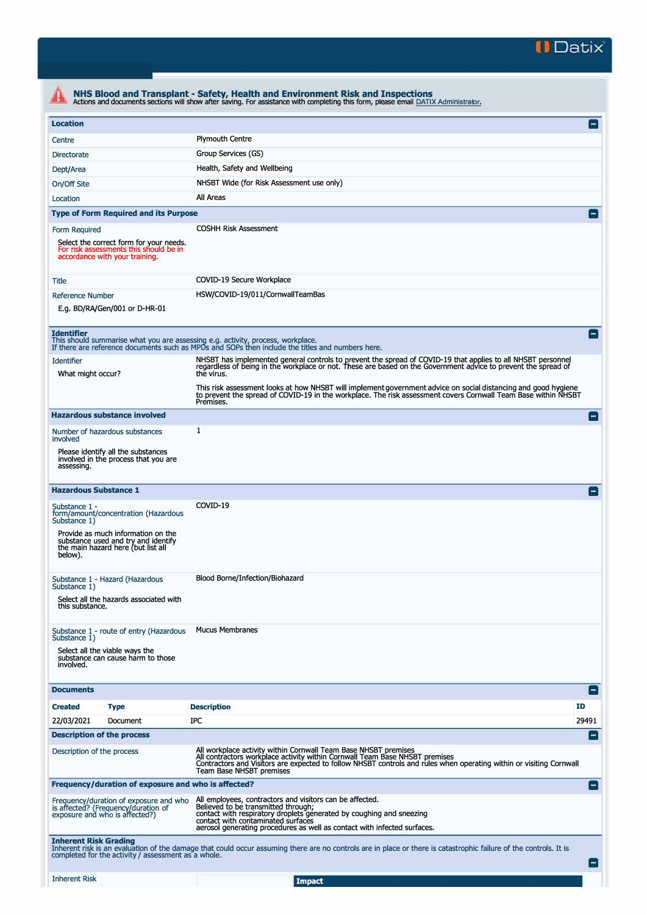

|                                                                                                                                                                                                                                                                                                                                                                                                              | Actions and documents sections will show after saving. For assistance with completing this form, please email DATIX Administrator.                                                                                                                                                                |                 |  |  |  |  |
|--------------------------------------------------------------------------------------------------------------------------------------------------------------------------------------------------------------------------------------------------------------------------------------------------------------------------------------------------------------------------------------------------------------|---------------------------------------------------------------------------------------------------------------------------------------------------------------------------------------------------------------------------------------------------------------------------------------------------|-----------------|--|--|--|--|
| <b>Location</b>                                                                                                                                                                                                                                                                                                                                                                                              |                                                                                                                                                                                                                                                                                                   |                 |  |  |  |  |
| Centre                                                                                                                                                                                                                                                                                                                                                                                                       | <b>Plymouth Centre</b>                                                                                                                                                                                                                                                                            |                 |  |  |  |  |
| <b>Directorate</b>                                                                                                                                                                                                                                                                                                                                                                                           | Group Services (GS)                                                                                                                                                                                                                                                                               |                 |  |  |  |  |
| Dept/Area                                                                                                                                                                                                                                                                                                                                                                                                    | Health, Safety and Wellbeing                                                                                                                                                                                                                                                                      |                 |  |  |  |  |
| On/Off Site                                                                                                                                                                                                                                                                                                                                                                                                  | NHSBT Wide (for Risk Assessment use only)                                                                                                                                                                                                                                                         |                 |  |  |  |  |
| Location                                                                                                                                                                                                                                                                                                                                                                                                     | All Areas                                                                                                                                                                                                                                                                                         |                 |  |  |  |  |
| <b>Type of Form Required and its Purpose</b>                                                                                                                                                                                                                                                                                                                                                                 |                                                                                                                                                                                                                                                                                                   |                 |  |  |  |  |
| Form Required                                                                                                                                                                                                                                                                                                                                                                                                | <b>COSHH Risk Assessment</b>                                                                                                                                                                                                                                                                      |                 |  |  |  |  |
| Select the correct form for your needs.<br>For risk assessments this should be in<br>accordance with your training.                                                                                                                                                                                                                                                                                          |                                                                                                                                                                                                                                                                                                   |                 |  |  |  |  |
| Title                                                                                                                                                                                                                                                                                                                                                                                                        | COVID-19 Secure Workplace                                                                                                                                                                                                                                                                         |                 |  |  |  |  |
| <b>Reference Number</b>                                                                                                                                                                                                                                                                                                                                                                                      | HSW/COVID-19/011/CornwallTeamBas                                                                                                                                                                                                                                                                  |                 |  |  |  |  |
| E.g. BD/RA/Gen/001 or D-HR-01                                                                                                                                                                                                                                                                                                                                                                                |                                                                                                                                                                                                                                                                                                   |                 |  |  |  |  |
| <b>Identifier</b><br>This should summarise what you are assessing e.g. activity, process, workplace.                                                                                                                                                                                                                                                                                                         | If there are reference documents such as MPDs and SOPs then include the titles and numbers here.                                                                                                                                                                                                  | н               |  |  |  |  |
| <b>Identifier</b><br>What might occur?                                                                                                                                                                                                                                                                                                                                                                       | NHSBT has implemented general controls to prevent the spread of COVID-19 that applies to all NHSBT personnel<br>regardless of being in the workplace or not. These are based on the Government advice to prevent the spread of<br>the virus.                                                      |                 |  |  |  |  |
|                                                                                                                                                                                                                                                                                                                                                                                                              | This risk assessment looks at how NHSBT will implement government advice on social distancing and good hygiene<br>to prevent the spread of COVID-19 in the workplace. The risk assessment covers Cornwall Team Base within NHSBT<br>Premises.                                                     |                 |  |  |  |  |
| <b>Hazardous substance involved</b>                                                                                                                                                                                                                                                                                                                                                                          |                                                                                                                                                                                                                                                                                                   | Е               |  |  |  |  |
| Number of hazardous substances<br>involved                                                                                                                                                                                                                                                                                                                                                                   | 1                                                                                                                                                                                                                                                                                                 |                 |  |  |  |  |
| Please identify all the substances<br>involved in the process that you are<br>assessing.                                                                                                                                                                                                                                                                                                                     |                                                                                                                                                                                                                                                                                                   |                 |  |  |  |  |
| <b>Hazardous Substance 1</b>                                                                                                                                                                                                                                                                                                                                                                                 |                                                                                                                                                                                                                                                                                                   |                 |  |  |  |  |
| Substance 1 -<br>form/amount/concentration (Hazardous<br>Substance 1)                                                                                                                                                                                                                                                                                                                                        | COVID-19                                                                                                                                                                                                                                                                                          |                 |  |  |  |  |
| Provide as much information on the<br>substance used and try and identify<br>the main hazard here (but list all<br>below).                                                                                                                                                                                                                                                                                   |                                                                                                                                                                                                                                                                                                   |                 |  |  |  |  |
| Substance 1 - Hazard (Hazardous<br>Substance 1)                                                                                                                                                                                                                                                                                                                                                              | Blood Borne/Infection/Biohazard                                                                                                                                                                                                                                                                   |                 |  |  |  |  |
| Select all the hazards associated with<br>this substance.                                                                                                                                                                                                                                                                                                                                                    |                                                                                                                                                                                                                                                                                                   |                 |  |  |  |  |
| Substance 1 - route of entry (Hazardous<br>Substance 1)                                                                                                                                                                                                                                                                                                                                                      | <b>Mucus Membranes</b>                                                                                                                                                                                                                                                                            |                 |  |  |  |  |
| Select all the viable ways the<br>substance can cause harm to those<br>involved.                                                                                                                                                                                                                                                                                                                             |                                                                                                                                                                                                                                                                                                   |                 |  |  |  |  |
| <b>Documents</b>                                                                                                                                                                                                                                                                                                                                                                                             |                                                                                                                                                                                                                                                                                                   | E               |  |  |  |  |
| <b>Created</b><br><b>Type</b>                                                                                                                                                                                                                                                                                                                                                                                | <b>Description</b>                                                                                                                                                                                                                                                                                | ID              |  |  |  |  |
| 22/03/2021<br>Document                                                                                                                                                                                                                                                                                                                                                                                       | IPC                                                                                                                                                                                                                                                                                               | 29491           |  |  |  |  |
| <b>Description of the process</b>                                                                                                                                                                                                                                                                                                                                                                            |                                                                                                                                                                                                                                                                                                   | н.              |  |  |  |  |
| Description of the process                                                                                                                                                                                                                                                                                                                                                                                   | All workplace activity within Cornwall Team Base NHSBT premises<br>All contractors workplace activity within Cornwall Team Base NHSBT premises<br>Contractors and Visitors are expected to follow NHSBT controls and rules when operating within or visiting Cornwall<br>Team Base NHSBT premises |                 |  |  |  |  |
| Frequency/duration of exposure and who is affected?                                                                                                                                                                                                                                                                                                                                                          |                                                                                                                                                                                                                                                                                                   | $\vert - \vert$ |  |  |  |  |
| All employees, contractors and visitors can be affected.<br>Frequency/duration of exposure and who<br>is affected? (Frequency/duration of<br>Believed to be transmitted through;<br>contact with respiratory droplets generated by coughing and sneezing<br>exposure and who is affected?)<br>contact with contaminated surfaces<br>aerosol generating procedures as well as contact with infected surfaces. |                                                                                                                                                                                                                                                                                                   |                 |  |  |  |  |
| <b>Inherent Risk Grading</b><br>completed for the activity / assessment as a whole.                                                                                                                                                                                                                                                                                                                          | Inherent risk is an evaluation of the damage that could occur assuming there are no controls are in place or there is catastrophic failure of the controls. It is                                                                                                                                 |                 |  |  |  |  |
|                                                                                                                                                                                                                                                                                                                                                                                                              |                                                                                                                                                                                                                                                                                                   |                 |  |  |  |  |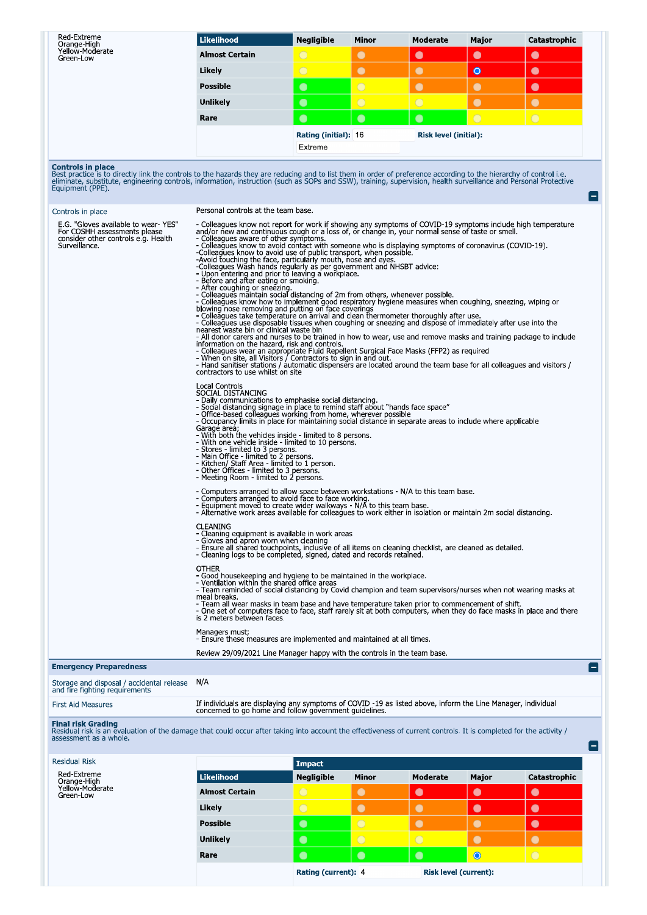| Red-Extreme<br>Orange-High<br>Yellow Moderate<br>Green-Low                                                                                                                                                                                                                                                                                                                                                | <b>Likelihood</b>                                                                                                                                                                                                                                                                                                                                                                                                                                                                                                                                                                                                                                                                                                                                                                                                                                                                                                                                                                                                                                                                                                                                                                                                                                                                                                                                                                                                                                                                                                                                                                                                                                                                                           | <b>Negligible</b>               | Minor      | Moderate                     | Major          | Catastrophic |  |
|-----------------------------------------------------------------------------------------------------------------------------------------------------------------------------------------------------------------------------------------------------------------------------------------------------------------------------------------------------------------------------------------------------------|-------------------------------------------------------------------------------------------------------------------------------------------------------------------------------------------------------------------------------------------------------------------------------------------------------------------------------------------------------------------------------------------------------------------------------------------------------------------------------------------------------------------------------------------------------------------------------------------------------------------------------------------------------------------------------------------------------------------------------------------------------------------------------------------------------------------------------------------------------------------------------------------------------------------------------------------------------------------------------------------------------------------------------------------------------------------------------------------------------------------------------------------------------------------------------------------------------------------------------------------------------------------------------------------------------------------------------------------------------------------------------------------------------------------------------------------------------------------------------------------------------------------------------------------------------------------------------------------------------------------------------------------------------------------------------------------------------------|---------------------------------|------------|------------------------------|----------------|--------------|--|
|                                                                                                                                                                                                                                                                                                                                                                                                           | <b>Almost Certain</b>                                                                                                                                                                                                                                                                                                                                                                                                                                                                                                                                                                                                                                                                                                                                                                                                                                                                                                                                                                                                                                                                                                                                                                                                                                                                                                                                                                                                                                                                                                                                                                                                                                                                                       | $\bigcirc$                      | $\bullet$  | $\bullet$                    | $\bullet$      | $\bullet$    |  |
|                                                                                                                                                                                                                                                                                                                                                                                                           | Likely                                                                                                                                                                                                                                                                                                                                                                                                                                                                                                                                                                                                                                                                                                                                                                                                                                                                                                                                                                                                                                                                                                                                                                                                                                                                                                                                                                                                                                                                                                                                                                                                                                                                                                      | $\bigcirc$                      | $\bullet$  | $\bullet$                    | $\bullet$      | $\bullet$    |  |
|                                                                                                                                                                                                                                                                                                                                                                                                           | <b>Possible</b>                                                                                                                                                                                                                                                                                                                                                                                                                                                                                                                                                                                                                                                                                                                                                                                                                                                                                                                                                                                                                                                                                                                                                                                                                                                                                                                                                                                                                                                                                                                                                                                                                                                                                             | $\bullet$                       | $\bigcirc$ | $\bullet$                    | $\bullet$      | $\bullet$    |  |
|                                                                                                                                                                                                                                                                                                                                                                                                           | <b>Unlikely</b>                                                                                                                                                                                                                                                                                                                                                                                                                                                                                                                                                                                                                                                                                                                                                                                                                                                                                                                                                                                                                                                                                                                                                                                                                                                                                                                                                                                                                                                                                                                                                                                                                                                                                             | $\bullet$                       | $\bigcirc$ | $\bigcirc$                   | $\bullet$      | $\bullet$    |  |
|                                                                                                                                                                                                                                                                                                                                                                                                           | Rare                                                                                                                                                                                                                                                                                                                                                                                                                                                                                                                                                                                                                                                                                                                                                                                                                                                                                                                                                                                                                                                                                                                                                                                                                                                                                                                                                                                                                                                                                                                                                                                                                                                                                                        | $\bullet$                       | $\bullet$  | $\bullet$                    | $\overline{O}$ | $\bigcirc$   |  |
|                                                                                                                                                                                                                                                                                                                                                                                                           |                                                                                                                                                                                                                                                                                                                                                                                                                                                                                                                                                                                                                                                                                                                                                                                                                                                                                                                                                                                                                                                                                                                                                                                                                                                                                                                                                                                                                                                                                                                                                                                                                                                                                                             | Rating (initial): 16<br>Extreme |            | <b>Risk level (initial):</b> |                |              |  |
| <b>Controls in place</b><br>Best practice is to directly link the controls to the hazards they are reducing and to list them in order of preference according to the hierarchy of control i.e.<br>eliminate, substitute, engineering controls, information, instruction (such as SOPs and SSW), training, supervision, health surveillance and Personal Protective<br>Equipment (PPE).<br>$\vert - \vert$ |                                                                                                                                                                                                                                                                                                                                                                                                                                                                                                                                                                                                                                                                                                                                                                                                                                                                                                                                                                                                                                                                                                                                                                                                                                                                                                                                                                                                                                                                                                                                                                                                                                                                                                             |                                 |            |                              |                |              |  |
| Controls in place                                                                                                                                                                                                                                                                                                                                                                                         | Personal controls at the team base.                                                                                                                                                                                                                                                                                                                                                                                                                                                                                                                                                                                                                                                                                                                                                                                                                                                                                                                                                                                                                                                                                                                                                                                                                                                                                                                                                                                                                                                                                                                                                                                                                                                                         |                                 |            |                              |                |              |  |
| E.G. "Gloves available to wear-YES"<br>For COSHH assessments please<br>consider other controls e.g. Health<br>Surveillance.                                                                                                                                                                                                                                                                               | - Colleagues know not report for work if showing any symptoms of COVID-19 symptoms include high temperature<br>and/or new and continuous cough or a loss of, or change in, your normal sense of taste or smell.<br>- Colleagues aware of other symptoms.<br>- Colleagues know to avoid contact with someone who is displaying symptoms of coronavirus (COVID-19).<br>-Colleagues know to avoid use of public transport, when possible.<br>-Avoid touching the face, particularly mouth, nose and eyes.<br>-Colleagues Wash hands regularly as per government and NHSBT advice:<br>- Upon entering and prior to leaving a workplace.<br>- Before and after eating or smoking.<br>- After coughing or sneezing.<br>- Colleagues maintain social distancing of 2m from others, whenever possible.<br>- Colleağues know how to implement good respiratory hygiene measures when coughing, sneezing, wiping or<br>blowing nose removing and putting on face coverings<br>- Colleagues take temperature on arrival and clean thermometer thoroughly after use.<br>- Colleagues use disposable tissues when coughing or sneezing and dispose of immediately after use into the<br>nearest waste bin or clinical waste bin<br>- All donor carers and nurses to be trained in how to wear, use and remove masks and training package to include<br>information on the hazard, risk and controls.<br>- Colleagues wear an appropriate Fluid Repellent Surgical Face Masks (FFP2) as required<br>- When on site, all Visitors / Contractors to sign in and out.<br>- Hand sanitiser stations / automatic dispensers are located around the<br>contractors to use whilst on site<br>Local Controls<br>SOCIAL DISTANCING |                                 |            |                              |                |              |  |
|                                                                                                                                                                                                                                                                                                                                                                                                           | - Daily communications to emphasise social distancing.<br>- Social distancing signage in place to remind staff about "hands face space"<br>- Office-based colleagues working from home, wherever possible<br>- Occupancy limits in place for maintaining social distance in separate areas to include where applicable<br>Garage area:<br>- With both the vehicles inside - limited to 8 persons.<br>- With one vehicle inside - limited to 10 persons.<br>- Stores - limited to 3 persons.<br>- Main Office - limited to 2 persons.<br>- Kitchen/ Staff Area - limited to 1 person.<br>- Other Offices - limited to 3 persons.<br>- Meeting Room - limited to 2 persons.                                                                                                                                                                                                                                                                                                                                                                                                                                                                                                                                                                                                                                                                                                                                                                                                                                                                                                                                                                                                                                   |                                 |            |                              |                |              |  |
|                                                                                                                                                                                                                                                                                                                                                                                                           | - Computers arranged to allow space between workstations - N/A to this team base.<br>- Computers arranged to avoid face to face working.<br>- Equipment moved to create wider walkways - N/A to this team base.<br>- Alternative work areas available for colleagues to work either in isolation or maintain 2m social distancing                                                                                                                                                                                                                                                                                                                                                                                                                                                                                                                                                                                                                                                                                                                                                                                                                                                                                                                                                                                                                                                                                                                                                                                                                                                                                                                                                                           |                                 |            |                              |                |              |  |
|                                                                                                                                                                                                                                                                                                                                                                                                           | CLEANING<br>- Cleaning equipment is available in work areas<br>- Gloves and apron worn when cleaning<br>- Ensure all shared touchpoints, inclusive of all items on cleaning checklist, are cleaned as detailed.<br>- Cleaning logs to be completed, signed, dated and records retained.                                                                                                                                                                                                                                                                                                                                                                                                                                                                                                                                                                                                                                                                                                                                                                                                                                                                                                                                                                                                                                                                                                                                                                                                                                                                                                                                                                                                                     |                                 |            |                              |                |              |  |
|                                                                                                                                                                                                                                                                                                                                                                                                           | <b>OTHER</b><br>- Good housekeeping and hygiene to be maintained in the workplace.<br>- Ventilation within the shared office areas<br>- Team reminded of social distancing by Covid champion and team supervisors/nurses when not wearing masks at<br>meal breaks.                                                                                                                                                                                                                                                                                                                                                                                                                                                                                                                                                                                                                                                                                                                                                                                                                                                                                                                                                                                                                                                                                                                                                                                                                                                                                                                                                                                                                                          |                                 |            |                              |                |              |  |
|                                                                                                                                                                                                                                                                                                                                                                                                           | - Team all wear masks in team base and have temperature taken prior to commencement of shift.<br>- One set of computers face to face, staff rarely sit at both computers, when they do face masks in place and there<br>is 2 meters between faces                                                                                                                                                                                                                                                                                                                                                                                                                                                                                                                                                                                                                                                                                                                                                                                                                                                                                                                                                                                                                                                                                                                                                                                                                                                                                                                                                                                                                                                           |                                 |            |                              |                |              |  |
|                                                                                                                                                                                                                                                                                                                                                                                                           | Managers must:<br>- Ensure these measures are implemented and maintained at all times.                                                                                                                                                                                                                                                                                                                                                                                                                                                                                                                                                                                                                                                                                                                                                                                                                                                                                                                                                                                                                                                                                                                                                                                                                                                                                                                                                                                                                                                                                                                                                                                                                      |                                 |            |                              |                |              |  |
|                                                                                                                                                                                                                                                                                                                                                                                                           | Review 29/09/2021 Line Manager happy with the controls in the team base.                                                                                                                                                                                                                                                                                                                                                                                                                                                                                                                                                                                                                                                                                                                                                                                                                                                                                                                                                                                                                                                                                                                                                                                                                                                                                                                                                                                                                                                                                                                                                                                                                                    |                                 |            |                              |                |              |  |
| <b>Emergency Preparedness</b>                                                                                                                                                                                                                                                                                                                                                                             |                                                                                                                                                                                                                                                                                                                                                                                                                                                                                                                                                                                                                                                                                                                                                                                                                                                                                                                                                                                                                                                                                                                                                                                                                                                                                                                                                                                                                                                                                                                                                                                                                                                                                                             |                                 |            |                              |                |              |  |
| Storage and disposal / accidental release<br>and fire fighting requirements                                                                                                                                                                                                                                                                                                                               | N/A                                                                                                                                                                                                                                                                                                                                                                                                                                                                                                                                                                                                                                                                                                                                                                                                                                                                                                                                                                                                                                                                                                                                                                                                                                                                                                                                                                                                                                                                                                                                                                                                                                                                                                         |                                 |            |                              |                |              |  |
| <b>First Aid Measures</b>                                                                                                                                                                                                                                                                                                                                                                                 | If individuals are displaying any symptoms of COVID -19 as listed above, inform the Line Manager, individual<br>concerned to go home and follow government quidelines.                                                                                                                                                                                                                                                                                                                                                                                                                                                                                                                                                                                                                                                                                                                                                                                                                                                                                                                                                                                                                                                                                                                                                                                                                                                                                                                                                                                                                                                                                                                                      |                                 |            |                              |                |              |  |
| <b>Final risk Grading</b><br>Residual risk is an evaluation of the damage that could occur after taking into account the effectiveness of current controls. It is completed for the activity /<br>assessment as a whole.                                                                                                                                                                                  |                                                                                                                                                                                                                                                                                                                                                                                                                                                                                                                                                                                                                                                                                                                                                                                                                                                                                                                                                                                                                                                                                                                                                                                                                                                                                                                                                                                                                                                                                                                                                                                                                                                                                                             |                                 |            |                              |                |              |  |

| assessment as a writter                                    |                       |                     |                |                       |           |              |  |
|------------------------------------------------------------|-----------------------|---------------------|----------------|-----------------------|-----------|--------------|--|
| <b>Residual Risk</b>                                       |                       | Impact              |                |                       |           |              |  |
| Red-Extreme<br>Orange-High<br>Yellow-Moderate<br>Green-Low | <b>Likelihood</b>     | <b>Negligible</b>   | <b>Minor</b>   | Moderate              | Major     | Catastrophic |  |
|                                                            | <b>Almost Certain</b> | $\bigcirc$          | $\bullet$      | $\bullet$             | $\bullet$ | $\bullet$    |  |
|                                                            | Likely                | $\bigcirc$          | $\bullet$      | $\bullet$             | $\bullet$ | $\bullet$    |  |
|                                                            | <b>Possible</b>       | $\bullet$           | $\overline{O}$ | $\bullet$             | $\bullet$ | $\bullet$    |  |
|                                                            | <b>Unlikely</b>       | $\bullet$           | $\overline{O}$ | $\bigcirc$            | $\bullet$ | $\bullet$    |  |
|                                                            | Rare                  | $\bullet$           | $\bullet$      | $\bullet$             | $\bullet$ | $\bigcirc$   |  |
|                                                            |                       | Rating (current): 4 |                | Risk level (current): |           |              |  |